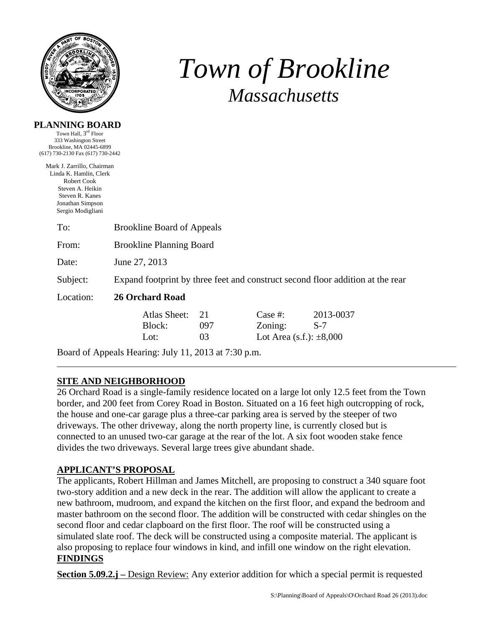

**PLANNING BOARD**  Town Hall, 3rd Floor

# *Town of Brookline Massachusetts*

| 333 Washington Street<br>Brookline, MA 02445-6899<br>(617) 730-2130 Fax (617) 730-2442                                                              |                                                                                |                                |                 |                                                          |                    |  |  |  |
|-----------------------------------------------------------------------------------------------------------------------------------------------------|--------------------------------------------------------------------------------|--------------------------------|-----------------|----------------------------------------------------------|--------------------|--|--|--|
| Mark J. Zarrillo, Chairman<br>Linda K. Hamlin, Clerk<br>Robert Cook<br>Steven A. Heikin<br>Steven R. Kanes<br>Jonathan Simpson<br>Sergio Modigliani |                                                                                |                                |                 |                                                          |                    |  |  |  |
| To:                                                                                                                                                 | <b>Brookline Board of Appeals</b>                                              |                                |                 |                                                          |                    |  |  |  |
| From:                                                                                                                                               | <b>Brookline Planning Board</b>                                                |                                |                 |                                                          |                    |  |  |  |
| Date:                                                                                                                                               | June 27, 2013                                                                  |                                |                 |                                                          |                    |  |  |  |
| Subject:                                                                                                                                            | Expand footprint by three feet and construct second floor addition at the rear |                                |                 |                                                          |                    |  |  |  |
| Location:                                                                                                                                           | <b>26 Orchard Road</b>                                                         |                                |                 |                                                          |                    |  |  |  |
|                                                                                                                                                     |                                                                                | Atlas Sheet:<br>Block:<br>Lot: | 21<br>097<br>03 | Case $#$ :<br>Zoning:<br>Lot Area $(s.f.)$ : $\pm 8,000$ | 2013-0037<br>$S-7$ |  |  |  |

Board of Appeals Hearing: July 11, 2013 at 7:30 p.m.

## **SITE AND NEIGHBORHOOD**

26 Orchard Road is a single-family residence located on a large lot only 12.5 feet from the Town border, and 200 feet from Corey Road in Boston. Situated on a 16 feet high outcropping of rock, the house and one-car garage plus a three-car parking area is served by the steeper of two driveways. The other driveway, along the north property line, is currently closed but is connected to an unused two-car garage at the rear of the lot. A six foot wooden stake fence divides the two driveways. Several large trees give abundant shade.

### **APPLICANT'S PROPOSAL**

The applicants, Robert Hillman and James Mitchell, are proposing to construct a 340 square foot two-story addition and a new deck in the rear. The addition will allow the applicant to create a new bathroom, mudroom, and expand the kitchen on the first floor, and expand the bedroom and master bathroom on the second floor. The addition will be constructed with cedar shingles on the second floor and cedar clapboard on the first floor. The roof will be constructed using a simulated slate roof. The deck will be constructed using a composite material. The applicant is also proposing to replace four windows in kind, and infill one window on the right elevation. **FINDINGS**

**Section 5.09.2.j** – Design Review: Any exterior addition for which a special permit is requested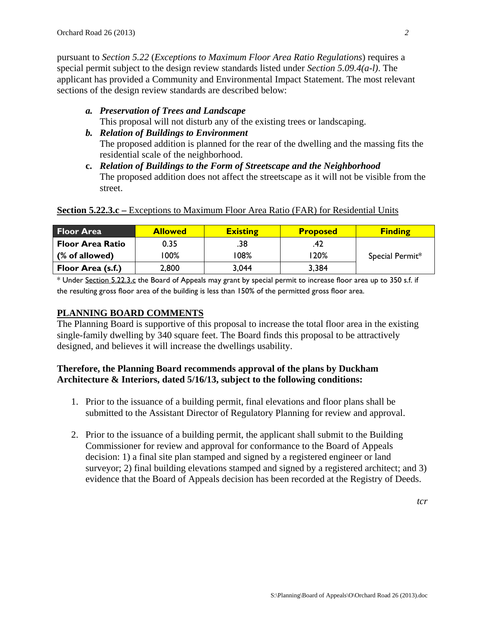pursuant to *Section 5.22* (*Exceptions to Maximum Floor Area Ratio Regulations*) requires a special permit subject to the design review standards listed under *Section 5.09.4(a-l)*. The applicant has provided a Community and Environmental Impact Statement. The most relevant sections of the design review standards are described below:

- *a. Preservation of Trees and Landscape*  This proposal will not disturb any of the existing trees or landscaping.
- *b. Relation of Buildings to Environment*  The proposed addition is planned for the rear of the dwelling and the massing fits the residential scale of the neighborhood.
- **c.** *Relation of Buildings to the Form of Streetscape and the Neighborhood* The proposed addition does not affect the streetscape as it will not be visible from the street.

| <b>Floor Area</b>       | <b>Allowed</b> | <b>Existing</b> | <b>Proposed</b> | <b>Finding</b>  |
|-------------------------|----------------|-----------------|-----------------|-----------------|
| <b>Floor Area Ratio</b> | 0.35           | .38             | .42             |                 |
| (% of allowed)          | $100\%$        | 08% ا           | 20%             | Special Permit* |
| Floor Area (s.f.)       | 2,800          | 3,044           | 3,384           |                 |

#### **Section 5.22.3.c** – Exceptions to Maximum Floor Area Ratio (FAR) for Residential Units

\* Under Section 5.22.3.c the Board of Appeals may grant by special permit to increase floor area up to 350 s.f. if the resulting gross floor area of the building is less than 150% of the permitted gross floor area.

## **PLANNING BOARD COMMENTS**

The Planning Board is supportive of this proposal to increase the total floor area in the existing single-family dwelling by 340 square feet. The Board finds this proposal to be attractively designed, and believes it will increase the dwellings usability.

## **Therefore, the Planning Board recommends approval of the plans by Duckham Architecture & Interiors, dated 5/16/13, subject to the following conditions:**

- 1. Prior to the issuance of a building permit, final elevations and floor plans shall be submitted to the Assistant Director of Regulatory Planning for review and approval.
- 2. Prior to the issuance of a building permit, the applicant shall submit to the Building Commissioner for review and approval for conformance to the Board of Appeals decision: 1) a final site plan stamped and signed by a registered engineer or land surveyor; 2) final building elevations stamped and signed by a registered architect; and 3) evidence that the Board of Appeals decision has been recorded at the Registry of Deeds.